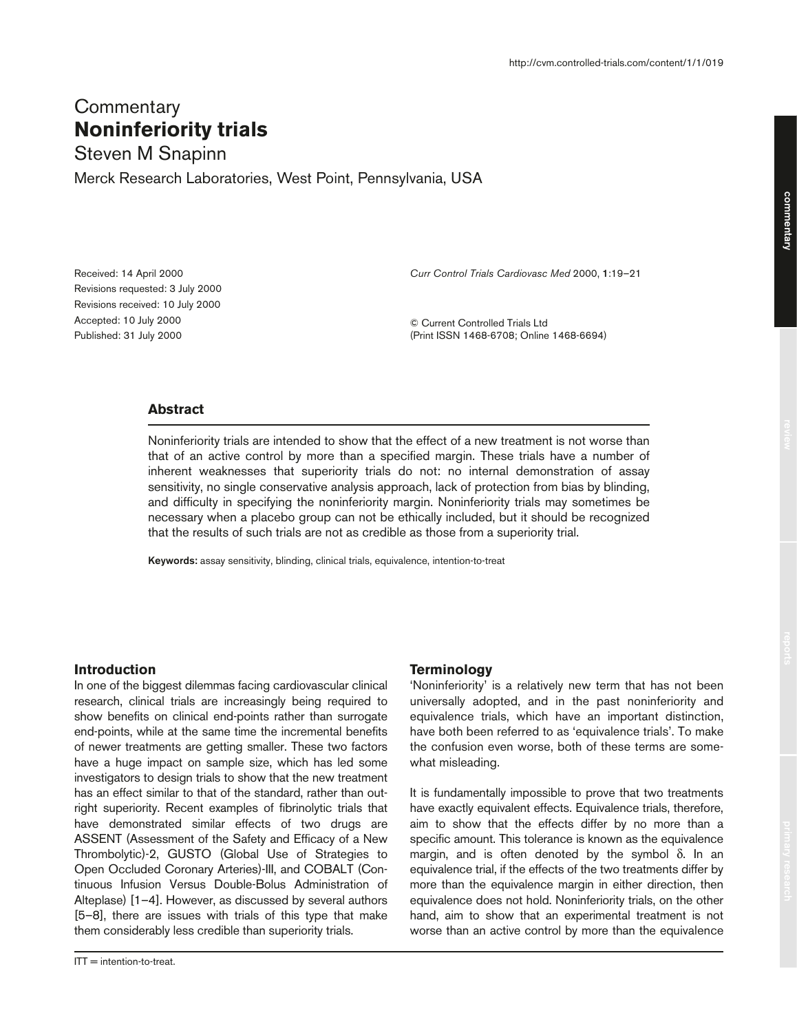# **Commentary Noninferiority trials**

Steven M Snapinn Merck Research Laboratories, West Point, Pennsylvania, USA

Received: 14 April 2000 Revisions requested: 3 July 2000 Revisions received: 10 July 2000 Accepted: 10 July 2000 Published: 31 July 2000

*Curr Control Trials Cardiovasc Med* 2000, **1**:19–21

© Current Controlled Trials Ltd (Print ISSN 1468-6708; Online 1468-6694)

# **Abstract**

Noninferiority trials are intended to show that the effect of a new treatment is not worse than that of an active control by more than a specified margin. These trials have a number of inherent weaknesses that superiority trials do not: no internal demonstration of assay sensitivity, no single conservative analysis approach, lack of protection from bias by blinding, and difficulty in specifying the noninferiority margin. Noninferiority trials may sometimes be necessary when a placebo group can not be ethically included, but it should be recognized that the results of such trials are not as credible as those from a superiority trial.

**Keywords:** assay sensitivity, blinding, clinical trials, equivalence, intention-to-treat

# **Introduction**

In one of the biggest dilemmas facing cardiovascular clinical research, clinical trials are increasingly being required to show benefits on clinical end-points rather than surrogate end-points, while at the same time the incremental benefits of newer treatments are getting smaller. These two factors have a huge impact on sample size, which has led some investigators to design trials to show that the new treatment has an effect similar to that of the standard, rather than outright superiority. Recent examples of fibrinolytic trials that have demonstrated similar effects of two drugs are ASSENT (Assessment of the Safety and Efficacy of a New Thrombolytic)-2, GUSTO (Global Use of Strategies to Open Occluded Coronary Arteries)-III, and COBALT (Continuous Infusion Versus Double-Bolus Administration of Alteplase) [1–4]. However, as discussed by several authors [5–8], there are issues with trials of this type that make them considerably less credible than superiority trials.

# **Terminology**

'Noninferiority' is a relatively new term that has not been universally adopted, and in the past noninferiority and equivalence trials, which have an important distinction, have both been referred to as 'equivalence trials'. To make the confusion even worse, both of these terms are somewhat misleading.

It is fundamentally impossible to prove that two treatments have exactly equivalent effects. Equivalence trials, therefore, aim to show that the effects differ by no more than a specific amount. This tolerance is known as the equivalence margin, and is often denoted by the symbol δ. In an equivalence trial, if the effects of the two treatments differ by more than the equivalence margin in either direction, then equivalence does not hold. Noninferiority trials, on the other hand, aim to show that an experimental treatment is not worse than an active control by more than the equivalence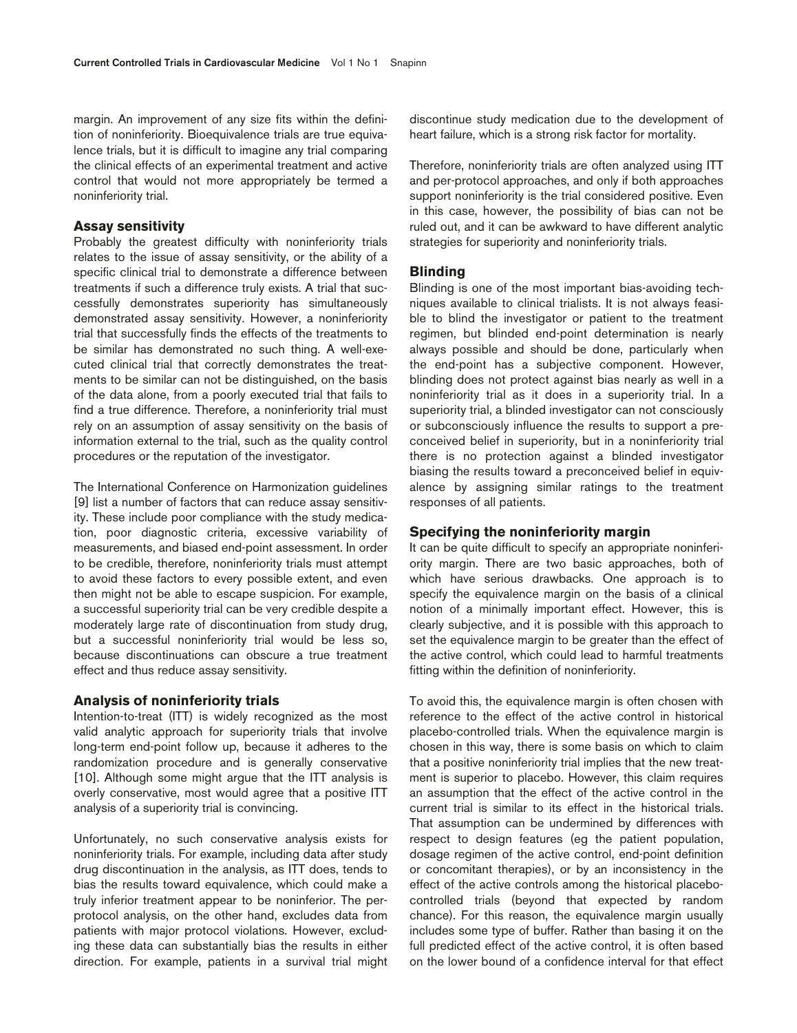margin. An improvement of any size fits within the definition of noninferiority. Bioequivalence trials are true equivalence trials, but it is difficult to imagine any trial comparing the clinical effects of an experimental treatment and active control that would not more appropriately be termed a noninferiority trial.

## **Assay sensitivity**

Probably the greatest difficulty with noninferiority trials relates to the issue of assay sensitivity, or the ability of a specific clinical trial to demonstrate a difference between treatments if such a difference truly exists. A trial that successfully demonstrates superiority has simultaneously demonstrated assay sensitivity. However, a noninferiority trial that successfully finds the effects of the treatments to be similar has demonstrated no such thing. A well-executed clinical trial that correctly demonstrates the treatments to be similar can not be distinguished, on the basis of the data alone, from a poorly executed trial that fails to find a true difference. Therefore, a noninferiority trial must rely on an assumption of assay sensitivity on the basis of information external to the trial, such as the quality control procedures or the reputation of the investigator.

The International Conference on Harmonization guidelines [9] list a number of factors that can reduce assay sensitivity. These include poor compliance with the study medication, poor diagnostic criteria, excessive variability of measurements, and biased end-point assessment. In order to be credible, therefore, noninferiority trials must attempt to avoid these factors to every possible extent, and even then might not be able to escape suspicion. For example, a successful superiority trial can be very credible despite a moderately large rate of discontinuation from study drug, but a successful noninferiority trial would be less so, because discontinuations can obscure a true treatment effect and thus reduce assay sensitivity.

## **Analysis of noninferiority trials**

Intention-to-treat (ITT) is widely recognized as the most valid analytic approach for superiority trials that involve long-term end-point follow up, because it adheres to the randomization procedure and is generally conservative [10]. Although some might argue that the ITT analysis is overly conservative, most would agree that a positive ITT analysis of a superiority trial is convincing.

Unfortunately, no such conservative analysis exists for noninferiority trials. For example, including data after study drug discontinuation in the analysis, as ITT does, tends to bias the results toward equivalence, which could make a truly inferior treatment appear to be noninferior. The perprotocol analysis, on the other hand, excludes data from patients with major protocol violations. However, excluding these data can substantially bias the results in either direction. For example, patients in a survival trial might discontinue study medication due to the development of heart failure, which is a strong risk factor for mortality.

Therefore, noninferiority trials are often analyzed using ITT and per-protocol approaches, and only if both approaches support noninferiority is the trial considered positive. Even in this case, however, the possibility of bias can not be ruled out, and it can be awkward to have different analytic strategies for superiority and noninferiority trials.

#### **Blinding**

Blinding is one of the most important bias-avoiding techniques available to clinical trialists. It is not always feasible to blind the investigator or patient to the treatment regimen, but blinded end-point determination is nearly always possible and should be done, particularly when the end-point has a subjective component. However, blinding does not protect against bias nearly as well in a noninferiority trial as it does in a superiority trial. In a superiority trial, a blinded investigator can not consciously or subconsciously influence the results to support a preconceived belief in superiority, but in a noninferiority trial there is no protection against a blinded investigator biasing the results toward a preconceived belief in equivalence by assigning similar ratings to the treatment responses of all patients.

# **Specifying the noninferiority margin**

It can be quite difficult to specify an appropriate noninferiority margin. There are two basic approaches, both of which have serious drawbacks. One approach is to specify the equivalence margin on the basis of a clinical notion of a minimally important effect. However, this is clearly subjective, and it is possible with this approach to set the equivalence margin to be greater than the effect of the active control, which could lead to harmful treatments fitting within the definition of noninferiority.

To avoid this, the equivalence margin is often chosen with reference to the effect of the active control in historical placebo-controlled trials. When the equivalence margin is chosen in this way, there is some basis on which to claim that a positive noninferiority trial implies that the new treatment is superior to placebo. However, this claim requires an assumption that the effect of the active control in the current trial is similar to its effect in the historical trials. That assumption can be undermined by differences with respect to design features (eg the patient population, dosage regimen of the active control, end-point definition or concomitant therapies), or by an inconsistency in the effect of the active controls among the historical placebocontrolled trials (beyond that expected by random chance). For this reason, the equivalence margin usually includes some type of buffer. Rather than basing it on the full predicted effect of the active control, it is often based on the lower bound of a confidence interval for that effect